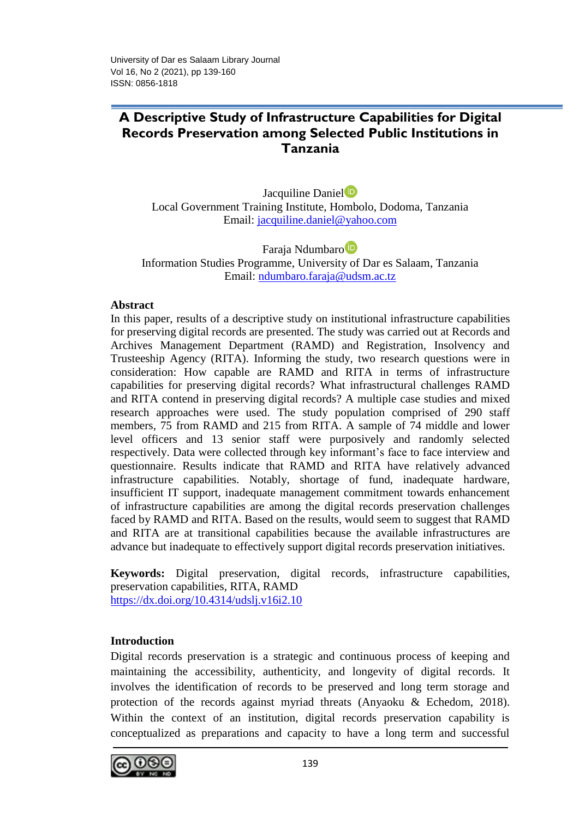# **A Descriptive Study of Infrastructure Capabilities for Digital Records Preservation among Selected Public Institutions in Tanzania**

Jacquiline Daniel<sup>D</sup> Local Government Training Institute, Hombolo, Dodoma, Tanzania Email: [jacquiline.daniel@yahoo.com](mailto:jacquiline.daniel@yahoo.com)

Faraja Ndumbar[o](https://orcid.org/0000-0002-7252-0860) Information Studies Programme, University of Dar es Salaam, Tanzania Email: [ndumbaro.faraja@udsm.ac.tz](mailto:ndumbaro.faraja@udsm.ac.tz) 

## **Abstract**

In this paper, results of a descriptive study on institutional infrastructure capabilities for preserving digital records are presented. The study was carried out at Records and Archives Management Department (RAMD) and Registration, Insolvency and Trusteeship Agency (RITA). Informing the study, two research questions were in consideration: How capable are RAMD and RITA in terms of infrastructure capabilities for preserving digital records? What infrastructural challenges RAMD and RITA contend in preserving digital records? A multiple case studies and mixed research approaches were used. The study population comprised of 290 staff members, 75 from RAMD and 215 from RITA. A sample of 74 middle and lower level officers and 13 senior staff were purposively and randomly selected respectively. Data were collected through key informant's face to face interview and questionnaire. Results indicate that RAMD and RITA have relatively advanced infrastructure capabilities. Notably, shortage of fund, inadequate hardware, insufficient IT support, inadequate management commitment towards enhancement of infrastructure capabilities are among the digital records preservation challenges faced by RAMD and RITA. Based on the results, would seem to suggest that RAMD and RITA are at transitional capabilities because the available infrastructures are advance but inadequate to effectively support digital records preservation initiatives.

**Keywords:** Digital preservation, digital records, infrastructure capabilities, preservation capabilities, RITA, RAMD <https://dx.doi.org/10.4314/udslj.v16i2.10>

## **Introduction**

Digital records preservation is a strategic and continuous process of keeping and maintaining the accessibility, authenticity, and longevity of digital records. It involves the identification of records to be preserved and long term storage and protection of the records against myriad threats (Anyaoku & Echedom, 2018). Within the context of an institution, digital records preservation capability is conceptualized as preparations and capacity to have a long term and successful

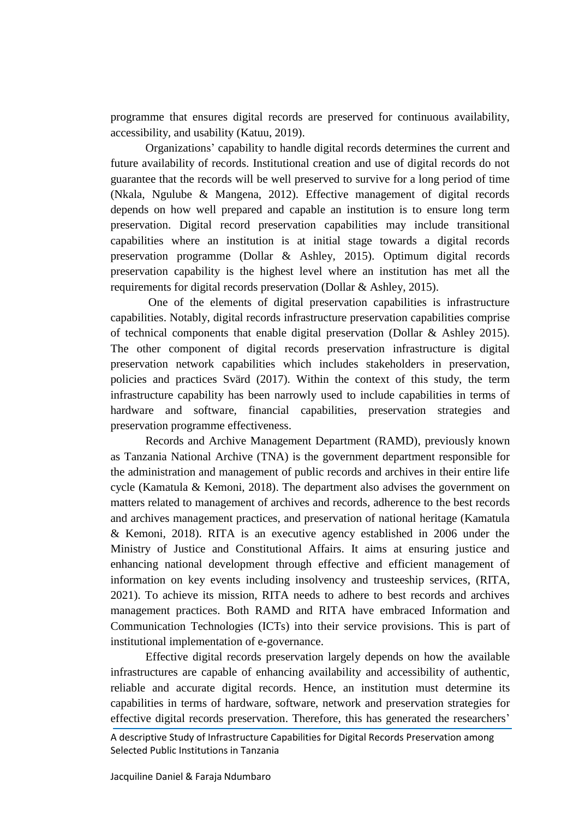programme that ensures digital records are preserved for continuous availability, accessibility, and usability (Katuu, 2019).

Organizations' capability to handle digital records determines the current and future availability of records. Institutional creation and use of digital records do not guarantee that the records will be well preserved to survive for a long period of time (Nkala, Ngulube & Mangena, 2012). Effective management of digital records depends on how well prepared and capable an institution is to ensure long term preservation. Digital record preservation capabilities may include transitional capabilities where an institution is at initial stage towards a digital records preservation programme (Dollar & Ashley, 2015). Optimum digital records preservation capability is the highest level where an institution has met all the requirements for digital records preservation (Dollar & Ashley, 2015).

One of the elements of digital preservation capabilities is infrastructure capabilities. Notably, digital records infrastructure preservation capabilities comprise of technical components that enable digital preservation (Dollar & Ashley 2015). The other component of digital records preservation infrastructure is digital preservation network capabilities which includes stakeholders in preservation, policies and practices Svärd (2017). Within the context of this study, the term infrastructure capability has been narrowly used to include capabilities in terms of hardware and software, financial capabilities, preservation strategies and preservation programme effectiveness.

Records and Archive Management Department (RAMD), previously known as Tanzania National Archive (TNA) is the government department responsible for the administration and management of public records and archives in their entire life cycle (Kamatula & Kemoni, 2018). The department also advises the government on matters related to management of archives and records, adherence to the best records and archives management practices, and preservation of national heritage (Kamatula & Kemoni, 2018). RITA is an executive agency established in 2006 under the Ministry of Justice and Constitutional Affairs. It aims at ensuring justice and enhancing national development through effective and efficient management of information on key events including insolvency and trusteeship services, (RITA, 2021). To achieve its mission, RITA needs to adhere to best records and archives management practices. Both RAMD and RITA have embraced Information and Communication Technologies (ICTs) into their service provisions. This is part of institutional implementation of e-governance.

Effective digital records preservation largely depends on how the available infrastructures are capable of enhancing availability and accessibility of authentic, reliable and accurate digital records. Hence, an institution must determine its capabilities in terms of hardware, software, network and preservation strategies for effective digital records preservation. Therefore, this has generated the researchers'

A descriptive Study of Infrastructure Capabilities for Digital Records Preservation among Selected Public Institutions in Tanzania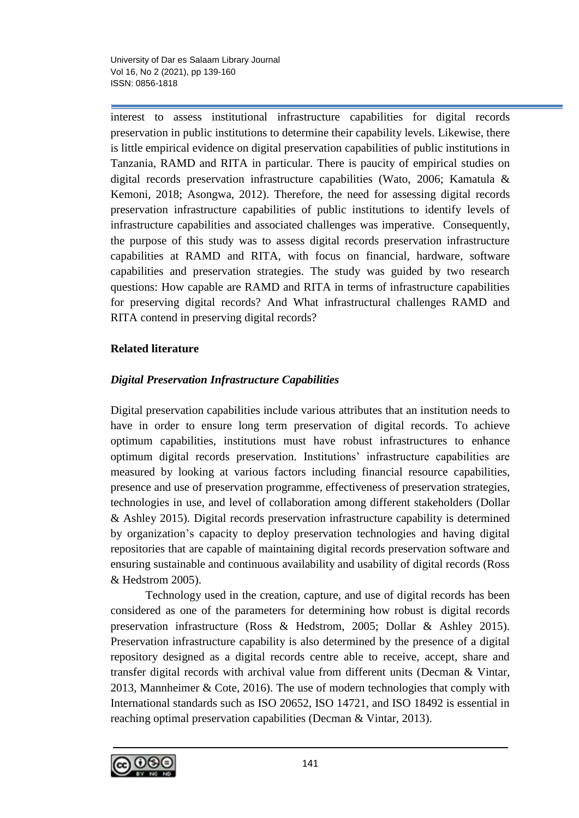interest to assess institutional infrastructure capabilities for digital records preservation in public institutions to determine their capability levels. Likewise, there is little empirical evidence on digital preservation capabilities of public institutions in Tanzania, RAMD and RITA in particular. There is paucity of empirical studies on digital records preservation infrastructure capabilities (Wato, 2006; Kamatula & Kemoni, 2018; Asongwa, 2012). Therefore, the need for assessing digital records preservation infrastructure capabilities of public institutions to identify levels of infrastructure capabilities and associated challenges was imperative. Consequently, the purpose of this study was to assess digital records preservation infrastructure capabilities at RAMD and RITA, with focus on financial, hardware, software capabilities and preservation strategies. The study was guided by two research questions: How capable are RAMD and RITA in terms of infrastructure capabilities for preserving digital records? And What infrastructural challenges RAMD and RITA contend in preserving digital records?

# **Related literature**

# *Digital Preservation Infrastructure Capabilities*

Digital preservation capabilities include various attributes that an institution needs to have in order to ensure long term preservation of digital records. To achieve optimum capabilities, institutions must have robust infrastructures to enhance optimum digital records preservation. Institutions' infrastructure capabilities are measured by looking at various factors including financial resource capabilities, presence and use of preservation programme, effectiveness of preservation strategies, technologies in use, and level of collaboration among different stakeholders (Dollar & Ashley 2015). Digital records preservation infrastructure capability is determined by organization's capacity to deploy preservation technologies and having digital repositories that are capable of maintaining digital records preservation software and ensuring sustainable and continuous availability and usability of digital records (Ross & Hedstrom 2005).

Technology used in the creation, capture, and use of digital records has been considered as one of the parameters for determining how robust is digital records preservation infrastructure (Ross & Hedstrom, 2005; Dollar & Ashley 2015). Preservation infrastructure capability is also determined by the presence of a digital repository designed as a digital records centre able to receive, accept, share and transfer digital records with archival value from different units (Decman & Vintar, 2013, Mannheimer & Cote, 2016). The use of modern technologies that comply with International standards such as ISO 20652, ISO 14721, and ISO 18492 is essential in reaching optimal preservation capabilities (Decman & Vintar, 2013).

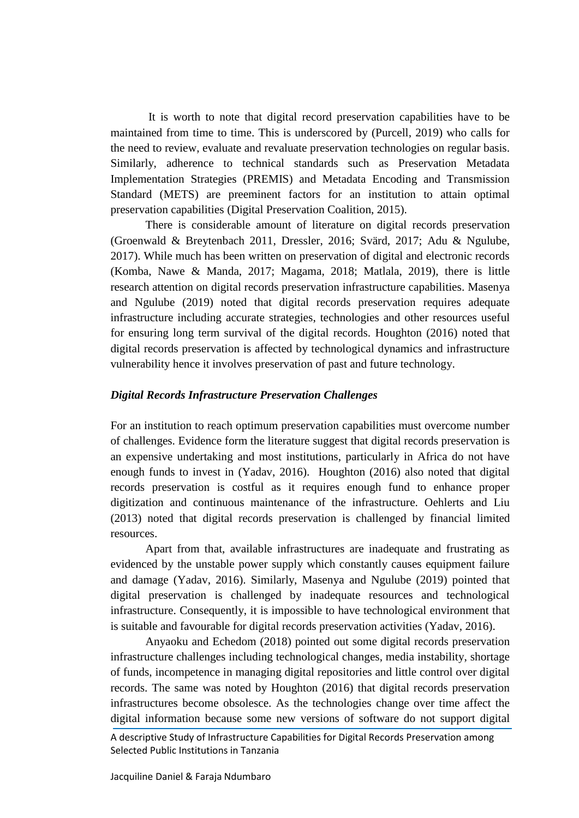It is worth to note that digital record preservation capabilities have to be maintained from time to time. This is underscored by (Purcell, 2019) who calls for the need to review, evaluate and revaluate preservation technologies on regular basis. Similarly, adherence to technical standards such as Preservation Metadata Implementation Strategies (PREMIS) and Metadata Encoding and Transmission Standard (METS) are preeminent factors for an institution to attain optimal preservation capabilities (Digital Preservation Coalition, 2015).

There is considerable amount of literature on digital records preservation (Groenwald & Breytenbach 2011, Dressler, 2016; Svärd, 2017; Adu & Ngulube, 2017). While much has been written on preservation of digital and electronic records (Komba, Nawe & Manda, 2017; Magama, 2018; Matlala, 2019), there is little research attention on digital records preservation infrastructure capabilities. Masenya and Ngulube (2019) noted that digital records preservation requires adequate infrastructure including accurate strategies, technologies and other resources useful for ensuring long term survival of the digital records. Houghton (2016) noted that digital records preservation is affected by technological dynamics and infrastructure vulnerability hence it involves preservation of past and future technology.

## *Digital Records Infrastructure Preservation Challenges*

For an institution to reach optimum preservation capabilities must overcome number of challenges. Evidence form the literature suggest that digital records preservation is an expensive undertaking and most institutions, particularly in Africa do not have enough funds to invest in (Yadav, 2016). Houghton (2016) also noted that digital records preservation is costful as it requires enough fund to enhance proper digitization and continuous maintenance of the infrastructure. Oehlerts and Liu (2013) noted that digital records preservation is challenged by financial limited resources.

Apart from that, available infrastructures are inadequate and frustrating as evidenced by the unstable power supply which constantly causes equipment failure and damage (Yadav, 2016). Similarly, Masenya and Ngulube (2019) pointed that digital preservation is challenged by inadequate resources and technological infrastructure. Consequently, it is impossible to have technological environment that is suitable and favourable for digital records preservation activities (Yadav, 2016).

Anyaoku and Echedom (2018) pointed out some digital records preservation infrastructure challenges including technological changes, media instability, shortage of funds, incompetence in managing digital repositories and little control over digital records. The same was noted by Houghton (2016) that digital records preservation infrastructures become obsolesce. As the technologies change over time affect the digital information because some new versions of software do not support digital

A descriptive Study of Infrastructure Capabilities for Digital Records Preservation among Selected Public Institutions in Tanzania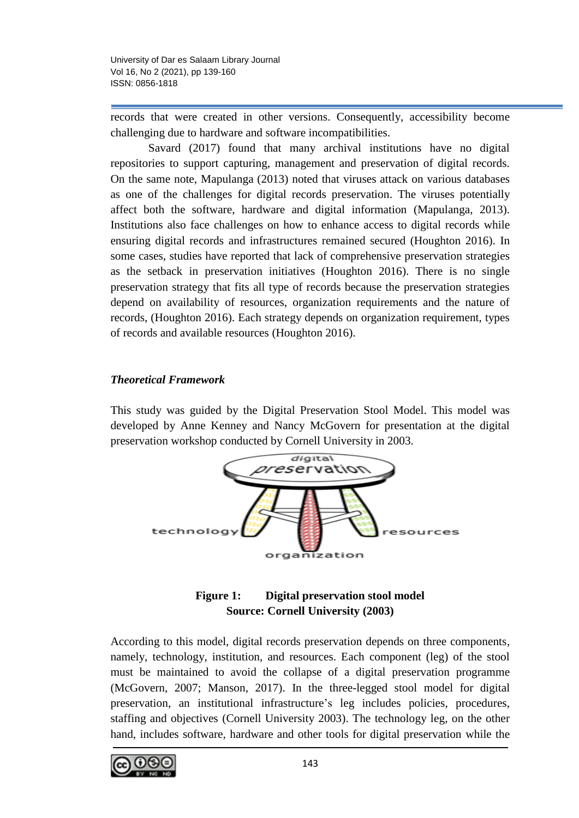records that were created in other versions. Consequently, accessibility become challenging due to hardware and software incompatibilities.

Savard (2017) found that many archival institutions have no digital repositories to support capturing, management and preservation of digital records. On the same note, Mapulanga (2013) noted that viruses attack on various databases as one of the challenges for digital records preservation. The viruses potentially affect both the software, hardware and digital information (Mapulanga, 2013). Institutions also face challenges on how to enhance access to digital records while ensuring digital records and infrastructures remained secured (Houghton 2016). In some cases, studies have reported that lack of comprehensive preservation strategies as the setback in preservation initiatives (Houghton 2016). There is no single preservation strategy that fits all type of records because the preservation strategies depend on availability of resources, organization requirements and the nature of records, (Houghton 2016). Each strategy depends on organization requirement, types of records and available resources (Houghton 2016).

# *Theoretical Framework*

This study was guided by the Digital Preservation Stool Model. This model was developed by Anne Kenney and Nancy McGovern for presentation at the digital preservation workshop conducted by Cornell University in 2003.



# **Figure 1: Digital preservation stool model Source: Cornell University (2003)**

According to this model, digital records preservation depends on three components, namely, technology, institution, and resources. Each component (leg) of the stool must be maintained to avoid the collapse of a digital preservation programme (McGovern, 2007; Manson, 2017). In the three-legged stool model for digital preservation, an institutional infrastructure's leg includes policies, procedures, staffing and objectives (Cornell University 2003). The technology leg, on the other hand, includes software, hardware and other tools for digital preservation while the

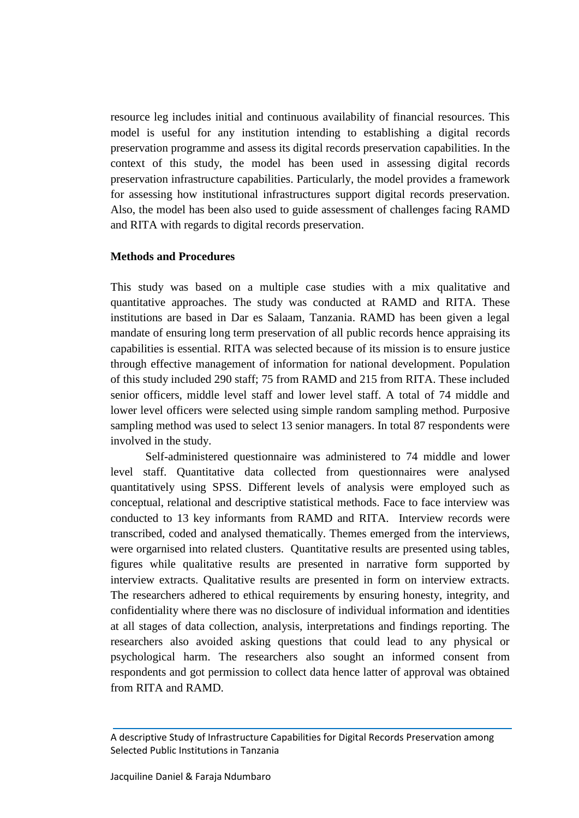resource leg includes initial and continuous availability of financial resources. This model is useful for any institution intending to establishing a digital records preservation programme and assess its digital records preservation capabilities. In the context of this study, the model has been used in assessing digital records preservation infrastructure capabilities. Particularly, the model provides a framework for assessing how institutional infrastructures support digital records preservation. Also, the model has been also used to guide assessment of challenges facing RAMD and RITA with regards to digital records preservation.

## **Methods and Procedures**

This study was based on a multiple case studies with a mix qualitative and quantitative approaches. The study was conducted at RAMD and RITA. These institutions are based in Dar es Salaam, Tanzania. RAMD has been given a legal mandate of ensuring long term preservation of all public records hence appraising its capabilities is essential. RITA was selected because of its mission is to ensure justice through effective management of information for national development. Population of this study included 290 staff; 75 from RAMD and 215 from RITA. These included senior officers, middle level staff and lower level staff. A total of 74 middle and lower level officers were selected using simple random sampling method. Purposive sampling method was used to select 13 senior managers. In total 87 respondents were involved in the study.

Self-administered questionnaire was administered to 74 middle and lower level staff. Quantitative data collected from questionnaires were analysed quantitatively using SPSS. Different levels of analysis were employed such as conceptual, relational and descriptive statistical methods. Face to face interview was conducted to 13 key informants from RAMD and RITA. Interview records were transcribed, coded and analysed thematically. Themes emerged from the interviews, were orgarnised into related clusters. Quantitative results are presented using tables, figures while qualitative results are presented in narrative form supported by interview extracts. Qualitative results are presented in form on interview extracts. The researchers adhered to ethical requirements by ensuring honesty, integrity, and confidentiality where there was no disclosure of individual information and identities at all stages of data collection, analysis, interpretations and findings reporting. The researchers also avoided asking questions that could lead to any physical or psychological harm. The researchers also sought an informed consent from respondents and got permission to collect data hence latter of approval was obtained from RITA and RAMD.

A descriptive Study of Infrastructure Capabilities for Digital Records Preservation among Selected Public Institutions in Tanzania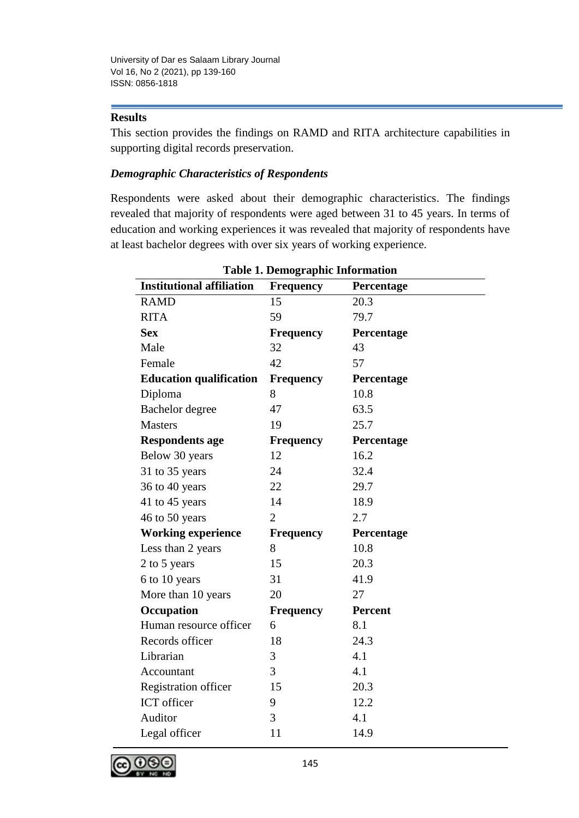# **Results**

This section provides the findings on RAMD and RITA architecture capabilities in supporting digital records preservation.

# *Demographic Characteristics of Respondents*

Respondents were asked about their demographic characteristics. The findings revealed that majority of respondents were aged between 31 to 45 years. In terms of education and working experiences it was revealed that majority of respondents have at least bachelor degrees with over six years of working experience.

|                                  | Table 1. Demographic miormation |                |
|----------------------------------|---------------------------------|----------------|
| <b>Institutional affiliation</b> | <b>Frequency</b>                | Percentage     |
| <b>RAMD</b>                      | 15                              | 20.3           |
| <b>RITA</b>                      | 59                              | 79.7           |
| <b>Sex</b>                       | <b>Frequency</b>                | Percentage     |
| Male                             | 32                              | 43             |
| Female                           | 42                              | 57             |
| <b>Education qualification</b>   | <b>Frequency</b>                | Percentage     |
| Diploma                          | 8                               | 10.8           |
| Bachelor degree                  | 47                              | 63.5           |
| <b>Masters</b>                   | 19                              | 25.7           |
| <b>Respondents age</b>           | <b>Frequency</b>                | Percentage     |
| Below 30 years                   | 12                              | 16.2           |
| 31 to 35 years                   | 24                              | 32.4           |
| 36 to 40 years                   | 22                              | 29.7           |
| 41 to 45 years                   | 14                              | 18.9           |
| 46 to 50 years                   | $\overline{2}$                  | 2.7            |
| <b>Working experience</b>        | <b>Frequency</b>                | Percentage     |
| Less than 2 years                | 8                               | 10.8           |
| 2 to 5 years                     | 15                              | 20.3           |
| 6 to 10 years                    | 31                              | 41.9           |
| More than 10 years               | 20                              | 27             |
| Occupation                       | <b>Frequency</b>                | <b>Percent</b> |
| Human resource officer           | 6                               | 8.1            |
| Records officer                  | 18                              | 24.3           |
| Librarian                        | 3                               | 4.1            |
| Accountant                       | 3                               | 4.1            |
| <b>Registration officer</b>      | 15                              | 20.3           |
| ICT officer                      | 9                               | 12.2           |
| Auditor                          | 3                               | 4.1            |
| Legal officer                    | 11                              | 14.9           |
|                                  |                                 |                |

**Table 1. Demographic Information**

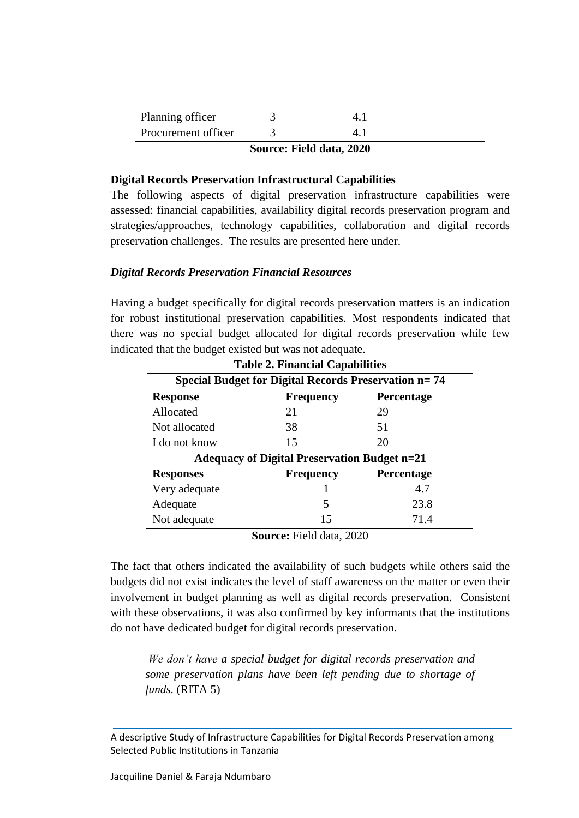| Planning officer    |  |  |
|---------------------|--|--|
| Procurement officer |  |  |

## **Source: Field data, 2020**

#### **Digital Records Preservation Infrastructural Capabilities**

The following aspects of digital preservation infrastructure capabilities were assessed: financial capabilities, availability digital records preservation program and strategies/approaches, technology capabilities, collaboration and digital records preservation challenges. The results are presented here under.

## *Digital Records Preservation Financial Resources*

Having a budget specifically for digital records preservation matters is an indication for robust institutional preservation capabilities. Most respondents indicated that there was no special budget allocated for digital records preservation while few indicated that the budget existed but was not adequate.

|                  | <b>Table 2. Financial Capabilities</b>                      |                   |
|------------------|-------------------------------------------------------------|-------------------|
|                  | <b>Special Budget for Digital Records Preservation n=74</b> |                   |
| <b>Response</b>  | <b>Frequency</b>                                            | <b>Percentage</b> |
| Allocated        | 21                                                          | 29                |
| Not allocated    | 38                                                          | 51                |
| I do not know    | 15                                                          | 20                |
|                  | <b>Adequacy of Digital Preservation Budget n=21</b>         |                   |
| <b>Responses</b> | <b>Frequency</b>                                            | <b>Percentage</b> |
| Very adequate    |                                                             | 4.7               |
| Adequate         | 5                                                           | 23.8              |
| Not adequate     | 15                                                          | 71.4              |

**Source:** Field data, 2020

The fact that others indicated the availability of such budgets while others said the budgets did not exist indicates the level of staff awareness on the matter or even their involvement in budget planning as well as digital records preservation. Consistent with these observations, it was also confirmed by key informants that the institutions do not have dedicated budget for digital records preservation.

*We don't have a special budget for digital records preservation and some preservation plans have been left pending due to shortage of funds.* (RITA 5)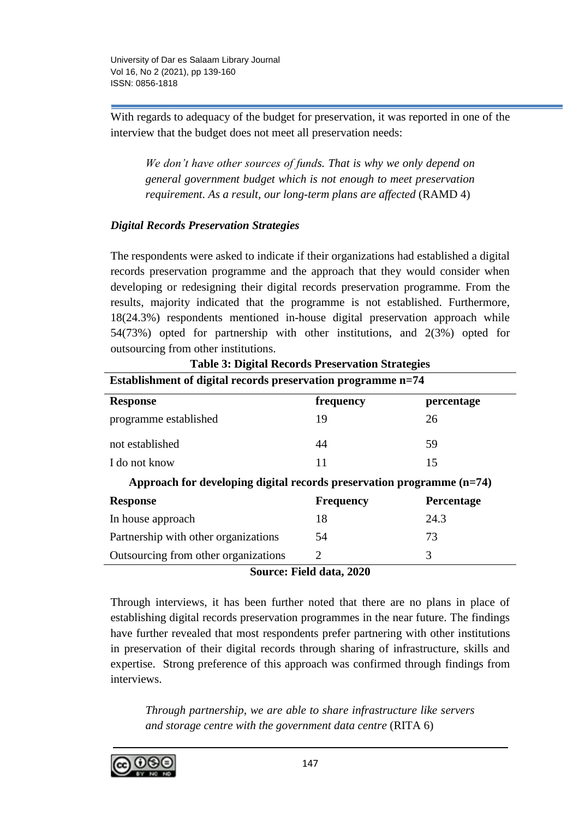With regards to adequacy of the budget for preservation, it was reported in one of the interview that the budget does not meet all preservation needs:

*We don't have other sources of funds. That is why we only depend on general government budget which is not enough to meet preservation requirement. As a result, our long-term plans are affected* (RAMD 4)

# *Digital Records Preservation Strategies*

The respondents were asked to indicate if their organizations had established a digital records preservation programme and the approach that they would consider when developing or redesigning their digital records preservation programme. From the results, majority indicated that the programme is not established. Furthermore, 18(24.3%) respondents mentioned in-house digital preservation approach while 54(73%) opted for partnership with other institutions, and 2(3%) opted for outsourcing from other institutions.

| Table 3: Digital Records Preservation Strategies                        |                          |            |  |
|-------------------------------------------------------------------------|--------------------------|------------|--|
| Establishment of digital records preservation programme n=74            |                          |            |  |
| <b>Response</b>                                                         | frequency                | percentage |  |
| programme established                                                   | 19                       | 26         |  |
| not established                                                         | 44                       | 59         |  |
| I do not know                                                           | 11                       | 15         |  |
| Approach for developing digital records preservation programme $(n=74)$ |                          |            |  |
| <b>Response</b>                                                         | <b>Frequency</b>         | Percentage |  |
| In house approach                                                       | 18                       | 24.3       |  |
| Partnership with other organizations                                    | 54                       | 73         |  |
| Outsourcing from other organizations                                    | $\overline{2}$           | 3          |  |
|                                                                         | Source: Field data, 2020 |            |  |

# **Table 3: Digital Records Preservation Strategies**

Through interviews, it has been further noted that there are no plans in place of establishing digital records preservation programmes in the near future. The findings have further revealed that most respondents prefer partnering with other institutions in preservation of their digital records through sharing of infrastructure, skills and expertise. Strong preference of this approach was confirmed through findings from interviews.

*Through partnership, we are able to share infrastructure like servers and storage centre with the government data centre* (RITA 6)

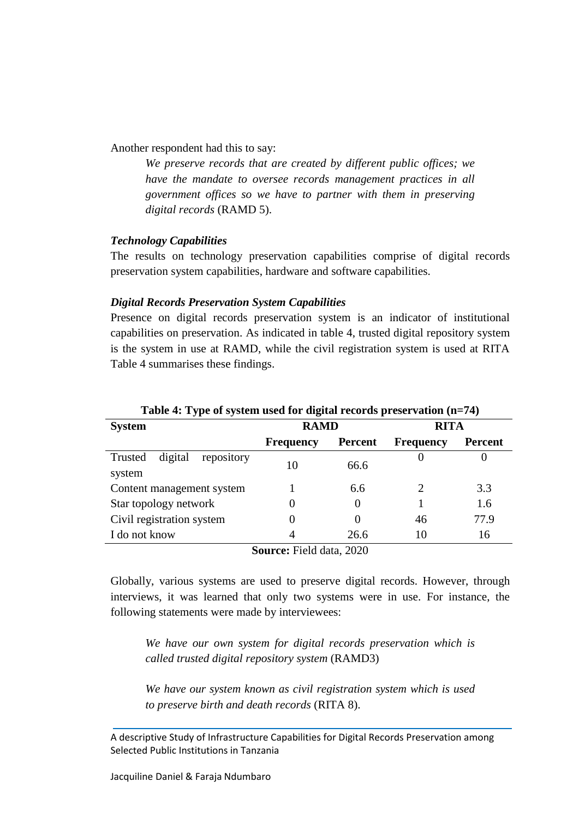Another respondent had this to say:

*We preserve records that are created by different public offices; we have the mandate to oversee records management practices in all government offices so we have to partner with them in preserving digital records* (RAMD 5).

## *Technology Capabilities*

The results on technology preservation capabilities comprise of digital records preservation system capabilities, hardware and software capabilities.

#### *Digital Records Preservation System Capabilities*

Presence on digital records preservation system is an indicator of institutional capabilities on preservation. As indicated in table 4, trusted digital repository system is the system in use at RAMD, while the civil registration system is used at RITA Table 4 summarises these findings.

| Twore it Type of bybeen ubed for digital records preservation $(1 - t)$ |                  |                |                  |                |  |  |
|-------------------------------------------------------------------------|------------------|----------------|------------------|----------------|--|--|
| <b>System</b>                                                           | <b>RAMD</b>      |                | <b>RITA</b>      |                |  |  |
|                                                                         | <b>Frequency</b> | <b>Percent</b> | <b>Frequency</b> | <b>Percent</b> |  |  |
| Trusted<br>digital<br>repository                                        | 10               | 66.6           |                  |                |  |  |
| system                                                                  |                  |                |                  |                |  |  |
| Content management system                                               |                  | 6.6            | 2                | 3.3            |  |  |
| Star topology network                                                   | 0                | $\theta$       |                  | 1.6            |  |  |
| Civil registration system                                               | 0                |                | 46               | 77.9           |  |  |
| I do not know                                                           | 4                | 26.6           | 10               | 16             |  |  |
| $\mathbb{C}_{\text{oumon}}$ Eald data $2020$                            |                  |                |                  |                |  |  |

# **Table 4: Type of system used for digital records preservation (n=74)**

**Source:** Field data, 2020

Globally, various systems are used to preserve digital records. However, through interviews, it was learned that only two systems were in use. For instance, the following statements were made by interviewees:

*We have our own system for digital records preservation which is called trusted digital repository system* (RAMD3)

*We have our system known as civil registration system which is used to preserve birth and death records* (RITA 8).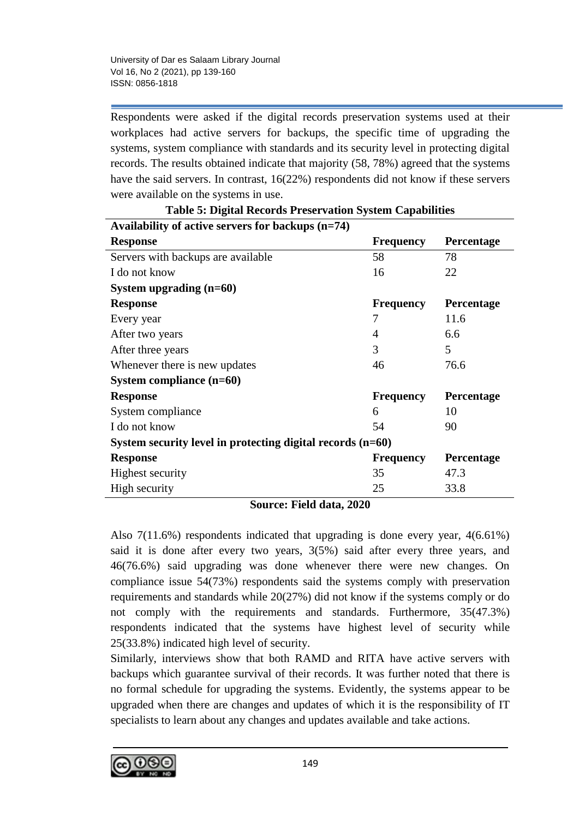Respondents were asked if the digital records preservation systems used at their workplaces had active servers for backups, the specific time of upgrading the systems, system compliance with standards and its security level in protecting digital records. The results obtained indicate that majority (58, 78%) agreed that the systems have the said servers. In contrast, 16(22%) respondents did not know if these servers were available on the systems in use.

| Availability of active servers for backups $(n=74)$          |                  |                   |
|--------------------------------------------------------------|------------------|-------------------|
| <b>Response</b>                                              | <b>Frequency</b> | <b>Percentage</b> |
| Servers with backups are available                           | 58               | 78                |
| I do not know                                                | 16               | 22                |
| System upgrading $(n=60)$                                    |                  |                   |
| <b>Response</b>                                              | <b>Frequency</b> | <b>Percentage</b> |
| Every year                                                   | 7                | 11.6              |
| After two years                                              | 4                | 6.6               |
| After three years                                            | 3                | 5                 |
| Whenever there is new updates                                | 46               | 76.6              |
| System compliance $(n=60)$                                   |                  |                   |
| <b>Response</b>                                              | <b>Frequency</b> | Percentage        |
| System compliance                                            | 6                | 10                |
| I do not know                                                | 54               | 90                |
| System security level in protecting digital records $(n=60)$ |                  |                   |
| <b>Response</b>                                              | <b>Frequency</b> | <b>Percentage</b> |
| <b>Highest security</b>                                      | 35               | 47.3              |
| High security                                                | 25               | 33.8              |

|  | <b>Table 5: Digital Records Preservation System Capabilities</b> |  |
|--|------------------------------------------------------------------|--|
|  |                                                                  |  |

**Source: Field data, 2020**

Also 7(11.6%) respondents indicated that upgrading is done every year, 4(6.61%) said it is done after every two years, 3(5%) said after every three years, and 46(76.6%) said upgrading was done whenever there were new changes. On compliance issue 54(73%) respondents said the systems comply with preservation requirements and standards while 20(27%) did not know if the systems comply or do not comply with the requirements and standards. Furthermore, 35(47.3%) respondents indicated that the systems have highest level of security while 25(33.8%) indicated high level of security.

Similarly, interviews show that both RAMD and RITA have active servers with backups which guarantee survival of their records. It was further noted that there is no formal schedule for upgrading the systems. Evidently, the systems appear to be upgraded when there are changes and updates of which it is the responsibility of IT specialists to learn about any changes and updates available and take actions.

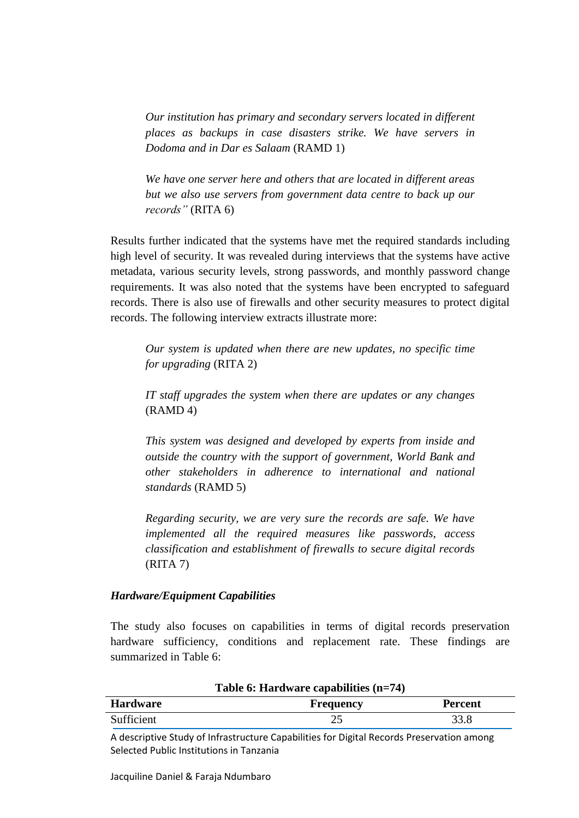*Our institution has primary and secondary servers located in different places as backups in case disasters strike. We have servers in Dodoma and in Dar es Salaam* (RAMD 1)

*We have one server here and others that are located in different areas but we also use servers from government data centre to back up our records"* (RITA 6)

Results further indicated that the systems have met the required standards including high level of security. It was revealed during interviews that the systems have active metadata, various security levels, strong passwords, and monthly password change requirements. It was also noted that the systems have been encrypted to safeguard records. There is also use of firewalls and other security measures to protect digital records. The following interview extracts illustrate more:

*Our system is updated when there are new updates, no specific time for upgrading* (RITA 2)

*IT staff upgrades the system when there are updates or any changes*  (RAMD 4)

*This system was designed and developed by experts from inside and outside the country with the support of government, World Bank and other stakeholders in adherence to international and national standards* (RAMD 5)

*Regarding security, we are very sure the records are safe. We have implemented all the required measures like passwords, access classification and establishment of firewalls to secure digital records* (RITA 7)

## *Hardware/Equipment Capabilities*

The study also focuses on capabilities in terms of digital records preservation hardware sufficiency, conditions and replacement rate. These findings are summarized in Table 6:

| rabic $\theta$ , riaruware capabilities $(\mu - \tau)$ |                  |                |  |
|--------------------------------------------------------|------------------|----------------|--|
| <b>Hardware</b>                                        | <b>Frequency</b> | <b>Percent</b> |  |
| Sufficient                                             |                  | 33.8           |  |

**Table 6: Hardware capabilities (n=74)**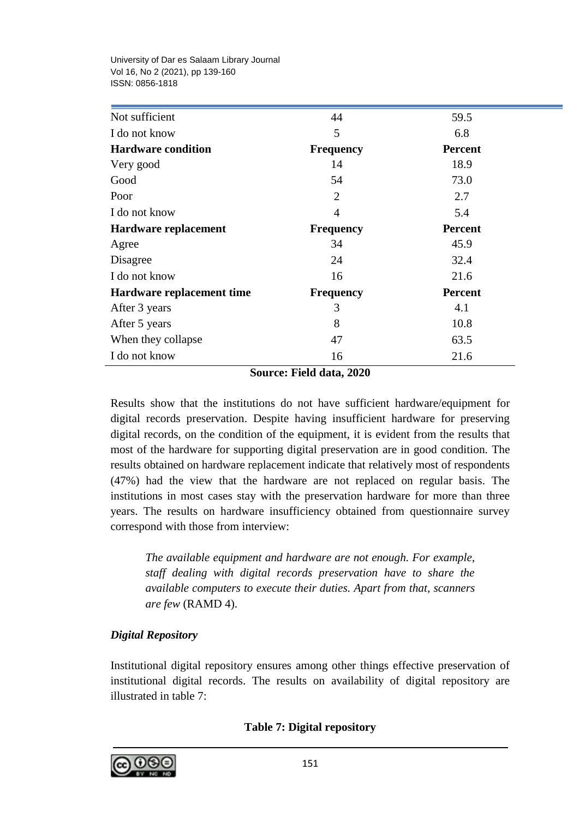| Not sufficient            | 44               | 59.5           |
|---------------------------|------------------|----------------|
| I do not know             | 5                | 6.8            |
| <b>Hardware condition</b> | <b>Frequency</b> | <b>Percent</b> |
| Very good                 | 14               | 18.9           |
| Good                      | 54               | 73.0           |
| Poor                      | $\overline{2}$   | 2.7            |
| I do not know             | $\overline{4}$   | 5.4            |
| Hardware replacement      | <b>Frequency</b> | <b>Percent</b> |
| Agree                     | 34               | 45.9           |
| Disagree                  | 24               | 32.4           |
| I do not know             | 16               | 21.6           |
| Hardware replacement time | <b>Frequency</b> | <b>Percent</b> |
| After 3 years             | 3                | 4.1            |
| After 5 years             | 8                | 10.8           |
| When they collapse        | 47               | 63.5           |
| I do not know             | 16               | 21.6           |

**Source: Field data, 2020**

Results show that the institutions do not have sufficient hardware/equipment for digital records preservation. Despite having insufficient hardware for preserving digital records, on the condition of the equipment, it is evident from the results that most of the hardware for supporting digital preservation are in good condition. The results obtained on hardware replacement indicate that relatively most of respondents (47%) had the view that the hardware are not replaced on regular basis. The institutions in most cases stay with the preservation hardware for more than three years. The results on hardware insufficiency obtained from questionnaire survey correspond with those from interview:

*The available equipment and hardware are not enough. For example, staff dealing with digital records preservation have to share the available computers to execute their duties. Apart from that, scanners are few* (RAMD 4).

# *Digital Repository*

Institutional digital repository ensures among other things effective preservation of institutional digital records. The results on availability of digital repository are illustrated in table 7:

**Table 7: Digital repository**

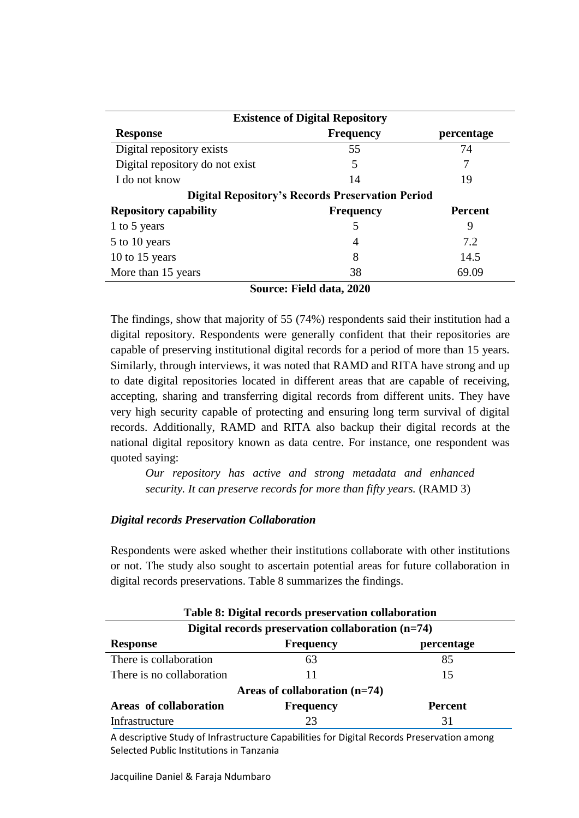| <b>Existence of Digital Repository</b> |                                                         |                |  |  |
|----------------------------------------|---------------------------------------------------------|----------------|--|--|
| <b>Response</b>                        | <b>Frequency</b>                                        | percentage     |  |  |
| Digital repository exists              | 55                                                      | 74             |  |  |
| Digital repository do not exist        | 5                                                       | 7              |  |  |
| I do not know                          | 14                                                      | 19             |  |  |
|                                        | <b>Digital Repository's Records Preservation Period</b> |                |  |  |
| <b>Repository capability</b>           | <b>Frequency</b>                                        | <b>Percent</b> |  |  |
| 1 to 5 years                           | 5                                                       | 9              |  |  |
| 5 to 10 years                          | 4                                                       | 7.2            |  |  |
| 10 to 15 years                         | 8                                                       | 14.5           |  |  |
| More than 15 years                     | 38                                                      | 69.09          |  |  |

**Source: Field data, 2020**

The findings, show that majority of 55 (74%) respondents said their institution had a digital repository. Respondents were generally confident that their repositories are capable of preserving institutional digital records for a period of more than 15 years. Similarly, through interviews, it was noted that RAMD and RITA have strong and up to date digital repositories located in different areas that are capable of receiving, accepting, sharing and transferring digital records from different units. They have very high security capable of protecting and ensuring long term survival of digital records. Additionally, RAMD and RITA also backup their digital records at the national digital repository known as data centre. For instance, one respondent was quoted saying:

*Our repository has active and strong metadata and enhanced security. It can preserve records for more than fifty years.* (RAMD 3)

# *Digital records Preservation Collaboration*

Respondents were asked whether their institutions collaborate with other institutions or not. The study also sought to ascertain potential areas for future collaboration in digital records preservations. Table 8 summarizes the findings.

| Table 8: Digital records preservation collaboration |                  |                |  |  |  |
|-----------------------------------------------------|------------------|----------------|--|--|--|
| Digital records preservation collaboration (n=74)   |                  |                |  |  |  |
| <b>Response</b>                                     | <b>Frequency</b> | percentage     |  |  |  |
| There is collaboration                              | 63               | 85             |  |  |  |
| There is no collaboration                           |                  | 15             |  |  |  |
| Areas of collaboration $(n=74)$                     |                  |                |  |  |  |
| Areas of collaboration                              | <b>Frequency</b> | <b>Percent</b> |  |  |  |
| Infrastructure                                      | 23               | 31             |  |  |  |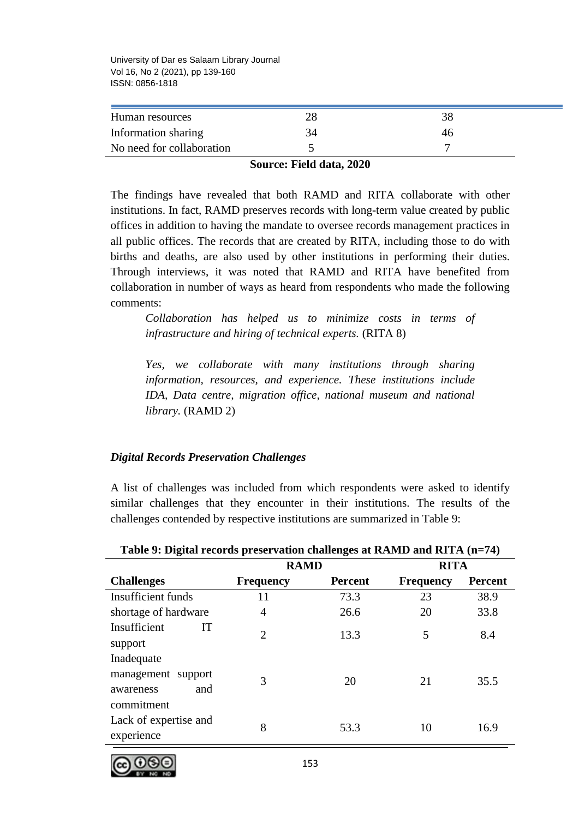| Human resources           |    |    |  |
|---------------------------|----|----|--|
| Information sharing       | 34 | 46 |  |
| No need for collaboration |    |    |  |

#### **Source: Field data, 2020**

The findings have revealed that both RAMD and RITA collaborate with other institutions. In fact, RAMD preserves records with long-term value created by public offices in addition to having the mandate to oversee records management practices in all public offices. The records that are created by RITA, including those to do with births and deaths, are also used by other institutions in performing their duties. Through interviews, it was noted that RAMD and RITA have benefited from collaboration in number of ways as heard from respondents who made the following comments:

*Collaboration has helped us to minimize costs in terms of infrastructure and hiring of technical experts.* (RITA 8)

*Yes, we collaborate with many institutions through sharing information, resources, and experience. These institutions include IDA, Data centre, migration office, national museum and national library.* (RAMD 2)

## *Digital Records Preservation Challenges*

A list of challenges was included from which respondents were asked to identify similar challenges that they encounter in their institutions. The results of the challenges contended by respective institutions are summarized in Table 9:

|                                                      | <b>RAMD</b>                 |                | <b>RITA</b>      |                |
|------------------------------------------------------|-----------------------------|----------------|------------------|----------------|
| <b>Challenges</b>                                    | <b>Frequency</b>            | <b>Percent</b> | <b>Frequency</b> | <b>Percent</b> |
| Insufficient funds                                   | 11                          | 73.3           | 23               | 38.9           |
| shortage of hardware                                 | 4                           | 26.6           | 20               | 33.8           |
| Insufficient<br>IT<br>support                        | $\mathcal{D}_{\mathcal{L}}$ | 13.3           | 5                | 8.4            |
| Inadequate                                           |                             |                |                  |                |
| management support<br>and<br>awareness<br>commitment | 3                           | 20             | 21               | 35.5           |
| Lack of expertise and<br>experience                  | 8                           | 53.3           | 10               | 16.9           |

#### **Table 9: Digital records preservation challenges at RAMD and RITA (n=74)**

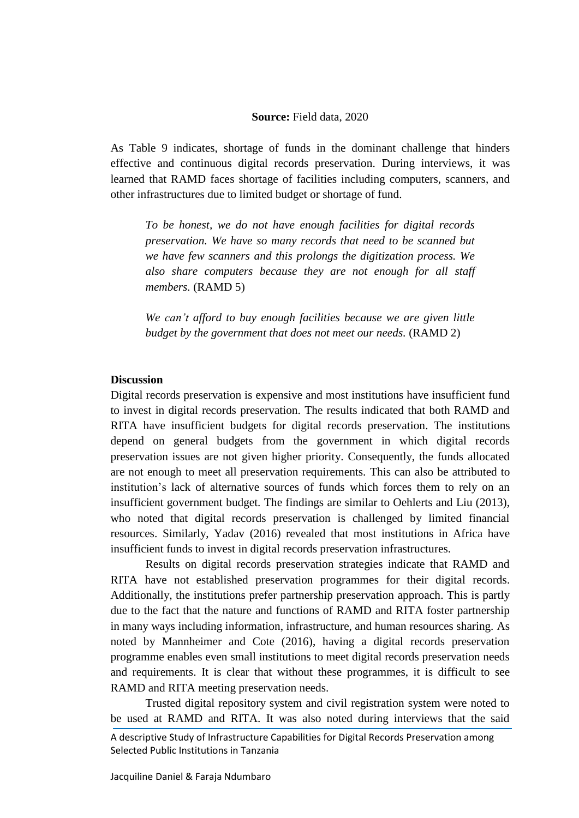#### **Source:** Field data, 2020

As Table 9 indicates, shortage of funds in the dominant challenge that hinders effective and continuous digital records preservation. During interviews, it was learned that RAMD faces shortage of facilities including computers, scanners, and other infrastructures due to limited budget or shortage of fund.

*To be honest, we do not have enough facilities for digital records preservation. We have so many records that need to be scanned but we have few scanners and this prolongs the digitization process. We also share computers because they are not enough for all staff members.* (RAMD 5)

*We can't afford to buy enough facilities because we are given little budget by the government that does not meet our needs.* (RAMD 2)

## **Discussion**

Digital records preservation is expensive and most institutions have insufficient fund to invest in digital records preservation. The results indicated that both RAMD and RITA have insufficient budgets for digital records preservation. The institutions depend on general budgets from the government in which digital records preservation issues are not given higher priority. Consequently, the funds allocated are not enough to meet all preservation requirements. This can also be attributed to institution's lack of alternative sources of funds which forces them to rely on an insufficient government budget. The findings are similar to Oehlerts and Liu (2013), who noted that digital records preservation is challenged by limited financial resources. Similarly, Yadav (2016) revealed that most institutions in Africa have insufficient funds to invest in digital records preservation infrastructures.

Results on digital records preservation strategies indicate that RAMD and RITA have not established preservation programmes for their digital records. Additionally, the institutions prefer partnership preservation approach. This is partly due to the fact that the nature and functions of RAMD and RITA foster partnership in many ways including information, infrastructure, and human resources sharing. As noted by Mannheimer and Cote (2016), having a digital records preservation programme enables even small institutions to meet digital records preservation needs and requirements. It is clear that without these programmes, it is difficult to see RAMD and RITA meeting preservation needs.

Trusted digital repository system and civil registration system were noted to be used at RAMD and RITA. It was also noted during interviews that the said

A descriptive Study of Infrastructure Capabilities for Digital Records Preservation among Selected Public Institutions in Tanzania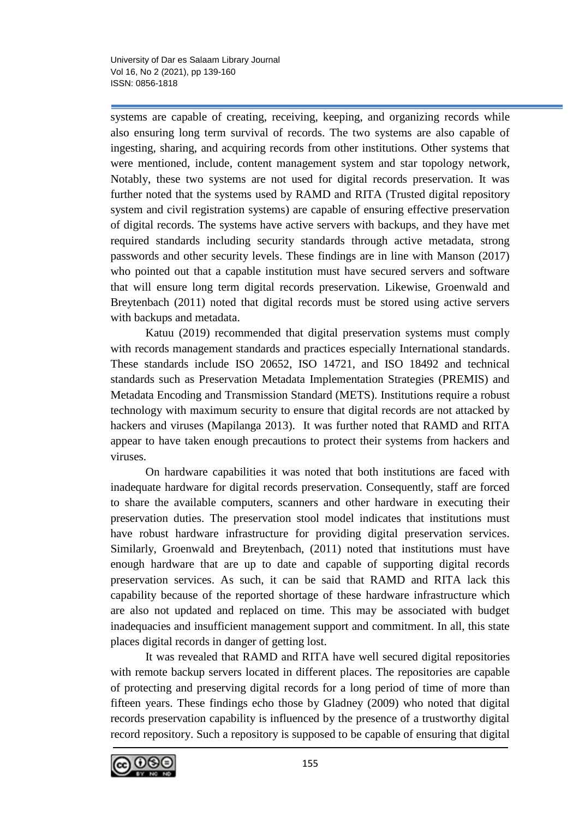systems are capable of creating, receiving, keeping, and organizing records while also ensuring long term survival of records. The two systems are also capable of ingesting, sharing, and acquiring records from other institutions. Other systems that were mentioned, include, content management system and star topology network, Notably, these two systems are not used for digital records preservation. It was further noted that the systems used by RAMD and RITA (Trusted digital repository system and civil registration systems) are capable of ensuring effective preservation of digital records. The systems have active servers with backups, and they have met required standards including security standards through active metadata, strong passwords and other security levels. These findings are in line with Manson (2017) who pointed out that a capable institution must have secured servers and software that will ensure long term digital records preservation. Likewise, Groenwald and Breytenbach (2011) noted that digital records must be stored using active servers with backups and metadata.

Katuu (2019) recommended that digital preservation systems must comply with records management standards and practices especially International standards. These standards include ISO 20652, ISO 14721, and ISO 18492 and technical standards such as Preservation Metadata Implementation Strategies (PREMIS) and Metadata Encoding and Transmission Standard (METS). Institutions require a robust technology with maximum security to ensure that digital records are not attacked by hackers and viruses (Mapilanga 2013). It was further noted that RAMD and RITA appear to have taken enough precautions to protect their systems from hackers and viruses.

On hardware capabilities it was noted that both institutions are faced with inadequate hardware for digital records preservation. Consequently, staff are forced to share the available computers, scanners and other hardware in executing their preservation duties. The preservation stool model indicates that institutions must have robust hardware infrastructure for providing digital preservation services. Similarly, Groenwald and Breytenbach, (2011) noted that institutions must have enough hardware that are up to date and capable of supporting digital records preservation services. As such, it can be said that RAMD and RITA lack this capability because of the reported shortage of these hardware infrastructure which are also not updated and replaced on time. This may be associated with budget inadequacies and insufficient management support and commitment. In all, this state places digital records in danger of getting lost.

It was revealed that RAMD and RITA have well secured digital repositories with remote backup servers located in different places. The repositories are capable of protecting and preserving digital records for a long period of time of more than fifteen years. These findings echo those by Gladney (2009) who noted that digital records preservation capability is influenced by the presence of a trustworthy digital record repository. Such a repository is supposed to be capable of ensuring that digital

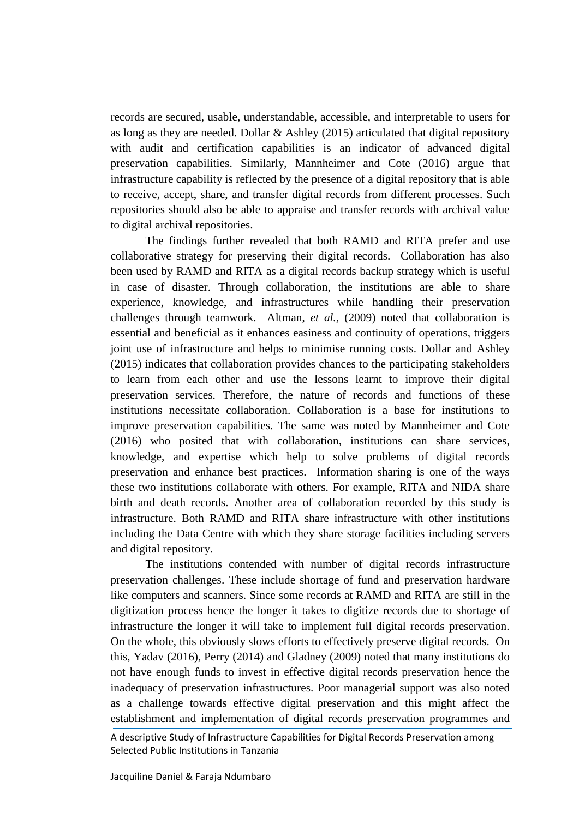records are secured, usable, understandable, accessible, and interpretable to users for as long as they are needed. Dollar & Ashley (2015) articulated that digital repository with audit and certification capabilities is an indicator of advanced digital preservation capabilities. Similarly, Mannheimer and Cote (2016) argue that infrastructure capability is reflected by the presence of a digital repository that is able to receive, accept, share, and transfer digital records from different processes. Such repositories should also be able to appraise and transfer records with archival value to digital archival repositories.

The findings further revealed that both RAMD and RITA prefer and use collaborative strategy for preserving their digital records. Collaboration has also been used by RAMD and RITA as a digital records backup strategy which is useful in case of disaster. Through collaboration, the institutions are able to share experience, knowledge, and infrastructures while handling their preservation challenges through teamwork. Altman, *et al.,* (2009) noted that collaboration is essential and beneficial as it enhances easiness and continuity of operations, triggers joint use of infrastructure and helps to minimise running costs. Dollar and Ashley (2015) indicates that collaboration provides chances to the participating stakeholders to learn from each other and use the lessons learnt to improve their digital preservation services. Therefore, the nature of records and functions of these institutions necessitate collaboration. Collaboration is a base for institutions to improve preservation capabilities. The same was noted by Mannheimer and Cote (2016) who posited that with collaboration, institutions can share services, knowledge, and expertise which help to solve problems of digital records preservation and enhance best practices. Information sharing is one of the ways these two institutions collaborate with others. For example, RITA and NIDA share birth and death records. Another area of collaboration recorded by this study is infrastructure. Both RAMD and RITA share infrastructure with other institutions including the Data Centre with which they share storage facilities including servers and digital repository.

The institutions contended with number of digital records infrastructure preservation challenges. These include shortage of fund and preservation hardware like computers and scanners. Since some records at RAMD and RITA are still in the digitization process hence the longer it takes to digitize records due to shortage of infrastructure the longer it will take to implement full digital records preservation. On the whole, this obviously slows efforts to effectively preserve digital records. On this, Yadav (2016), Perry (2014) and Gladney (2009) noted that many institutions do not have enough funds to invest in effective digital records preservation hence the inadequacy of preservation infrastructures. Poor managerial support was also noted as a challenge towards effective digital preservation and this might affect the establishment and implementation of digital records preservation programmes and

A descriptive Study of Infrastructure Capabilities for Digital Records Preservation among Selected Public Institutions in Tanzania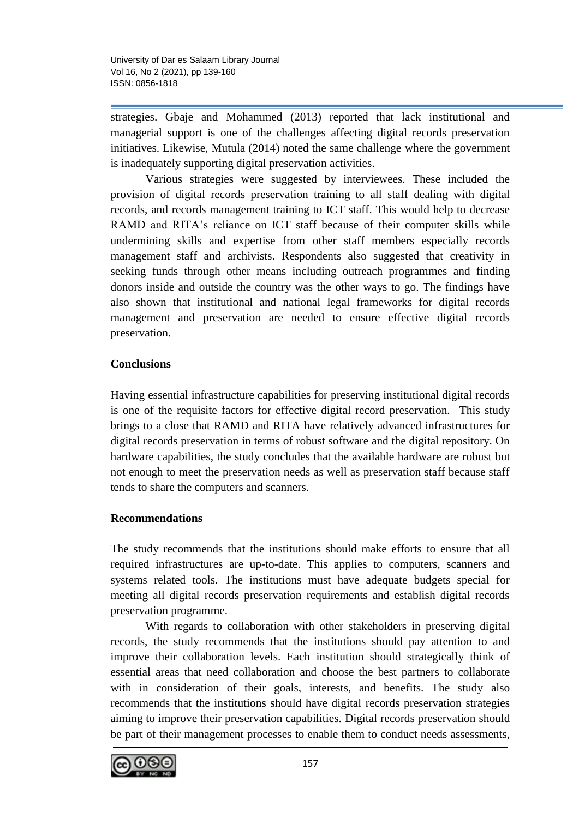strategies. Gbaje and Mohammed (2013) reported that lack institutional and managerial support is one of the challenges affecting digital records preservation initiatives. Likewise, Mutula (2014) noted the same challenge where the government is inadequately supporting digital preservation activities.

Various strategies were suggested by interviewees. These included the provision of digital records preservation training to all staff dealing with digital records, and records management training to ICT staff. This would help to decrease RAMD and RITA's reliance on ICT staff because of their computer skills while undermining skills and expertise from other staff members especially records management staff and archivists. Respondents also suggested that creativity in seeking funds through other means including outreach programmes and finding donors inside and outside the country was the other ways to go. The findings have also shown that institutional and national legal frameworks for digital records management and preservation are needed to ensure effective digital records preservation.

# **Conclusions**

Having essential infrastructure capabilities for preserving institutional digital records is one of the requisite factors for effective digital record preservation. This study brings to a close that RAMD and RITA have relatively advanced infrastructures for digital records preservation in terms of robust software and the digital repository. On hardware capabilities, the study concludes that the available hardware are robust but not enough to meet the preservation needs as well as preservation staff because staff tends to share the computers and scanners.

# **Recommendations**

The study recommends that the institutions should make efforts to ensure that all required infrastructures are up-to-date. This applies to computers, scanners and systems related tools. The institutions must have adequate budgets special for meeting all digital records preservation requirements and establish digital records preservation programme.

With regards to collaboration with other stakeholders in preserving digital records, the study recommends that the institutions should pay attention to and improve their collaboration levels. Each institution should strategically think of essential areas that need collaboration and choose the best partners to collaborate with in consideration of their goals, interests, and benefits. The study also recommends that the institutions should have digital records preservation strategies aiming to improve their preservation capabilities. Digital records preservation should be part of their management processes to enable them to conduct needs assessments,

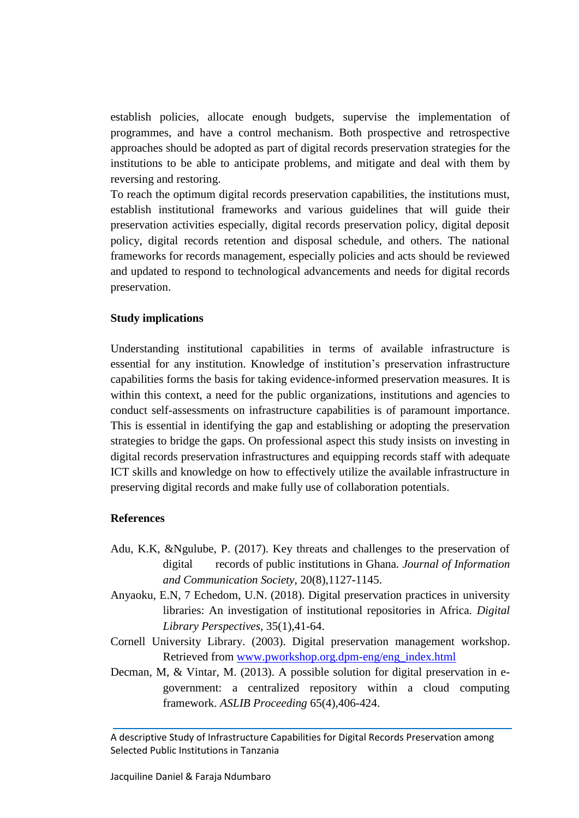establish policies, allocate enough budgets, supervise the implementation of programmes, and have a control mechanism. Both prospective and retrospective approaches should be adopted as part of digital records preservation strategies for the institutions to be able to anticipate problems, and mitigate and deal with them by reversing and restoring.

To reach the optimum digital records preservation capabilities, the institutions must, establish institutional frameworks and various guidelines that will guide their preservation activities especially, digital records preservation policy, digital deposit policy, digital records retention and disposal schedule, and others. The national frameworks for records management, especially policies and acts should be reviewed and updated to respond to technological advancements and needs for digital records preservation.

## **Study implications**

Understanding institutional capabilities in terms of available infrastructure is essential for any institution. Knowledge of institution's preservation infrastructure capabilities forms the basis for taking evidence-informed preservation measures. It is within this context, a need for the public organizations, institutions and agencies to conduct self-assessments on infrastructure capabilities is of paramount importance. This is essential in identifying the gap and establishing or adopting the preservation strategies to bridge the gaps. On professional aspect this study insists on investing in digital records preservation infrastructures and equipping records staff with adequate ICT skills and knowledge on how to effectively utilize the available infrastructure in preserving digital records and make fully use of collaboration potentials.

## **References**

- Adu, K.K, &Ngulube, P. (2017). Key threats and challenges to the preservation of digital records of public institutions in Ghana. *Journal of Information and Communication Society*, 20(8),1127-1145.
- Anyaoku, E.N, 7 Echedom, U.N. (2018). Digital preservation practices in university libraries: An investigation of institutional repositories in Africa. *Digital Library Perspectives,* 35(1),41-64.
- Cornell University Library. (2003). Digital preservation management workshop. Retrieved from [www.pworkshop.org.dpm-eng/eng\\_index.html](http://www.pworkshop.org.dpm-eng/eng_index.html)
- Decman, M, & Vintar, M. (2013). A possible solution for digital preservation in egovernment: a centralized repository within a cloud computing framework. *ASLIB Proceeding* 65(4),406-424.

A descriptive Study of Infrastructure Capabilities for Digital Records Preservation among Selected Public Institutions in Tanzania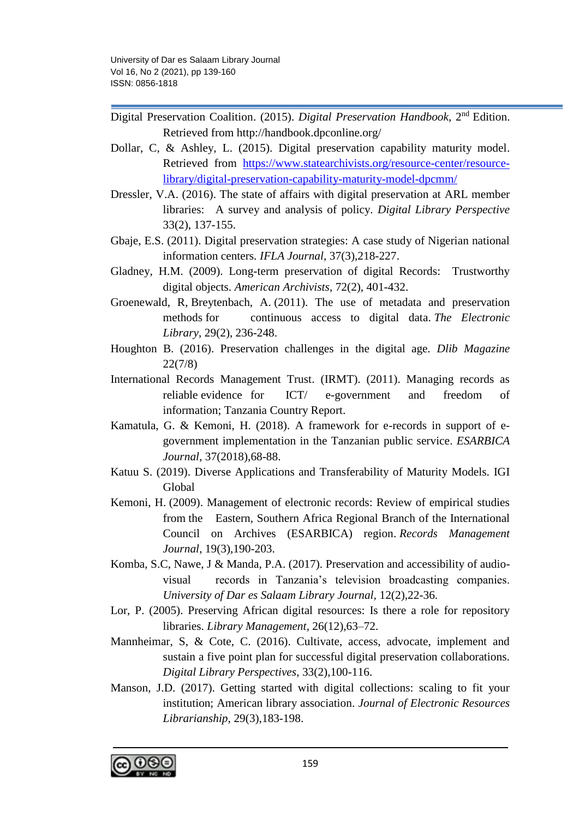- Digital Preservation Coalition. (2015). *Digital Preservation Handbook*, 2nd Edition. Retrieved from http://handbook.dpconline.org/
- Dollar, C, & Ashley, L. (2015). Digital preservation capability maturity model. Retrieved from [https://www.statearchivists.org/resource-center/resource](https://www.statearchivists.org/resource-center/resource-library/digital-preservation-capability-maturity-model-dpcmm/)[library/digital-preservation-capability-maturity-model-dpcmm/](https://www.statearchivists.org/resource-center/resource-library/digital-preservation-capability-maturity-model-dpcmm/)
- Dressler, V.A. (2016). The state of affairs with digital preservation at ARL member libraries: A survey and analysis of policy. *Digital Library Perspective* 33(2), 137-155.
- Gbaje, E.S. (2011). Digital preservation strategies: A case study of Nigerian national information centers. *IFLA Journal,* 37(3),218-227.
- Gladney, H.M. (2009). Long-term preservation of digital Records: Trustworthy digital objects. *American Archivists*, 72(2), 401-432.
- [Groenewald, R,](https://www.emerald.com/insight/search?q=Ria%20Groenewald) [Breytenbach, A.](https://www.emerald.com/insight/search?q=Amelia%20Breytenbach) (2011). The use of metadata and preservation methods for continuous access to digital data. *[The Electronic](https://www.emerald.com/insight/publication/issn/0264-0473)  [Library](https://www.emerald.com/insight/publication/issn/0264-0473)*, 29(2), 236-248.
- Houghton B. (2016). Preservation challenges in the digital age. *Dlib Magazine* 22(7/8)
- International Records Management Trust. (IRMT). (2011). Managing records as reliable evidence for ICT/ e-government and freedom of information; Tanzania Country Report.
- Kamatula, G. & Kemoni, H. (2018). A framework for e-records in support of egovernment implementation in the Tanzanian public service. *ESARBICA Journal*, 37(2018),68-88.
- Katuu S. (2019). Diverse Applications and Transferability of Maturity Models. IGI Global
- [Kemoni, H.](https://www.emerald.com/insight/search?q=Henry%20N.%20Kemoni) (2009). Management of electronic records: Review of empirical studies from the Eastern, Southern Africa Regional Branch of the International Council on Archives (ESARBICA) region. *[Records Management](https://www.emerald.com/insight/publication/issn/0956-5698)  [Journal](https://www.emerald.com/insight/publication/issn/0956-5698)*, 19(3),190-203.
- Komba, S.C, Nawe, J & Manda, P.A. (2017). Preservation and accessibility of audiovisual records in Tanzania's television broadcasting companies. *University of Dar es Salaam Library Journal,* 12(2),22-36.
- Lor, P. (2005). Preserving African digital resources: Is there a role for repository libraries. *Library Management*, 26(12),63–72.
- Mannheimar, S, & Cote, C. (2016). Cultivate, access, advocate, implement and sustain a five point plan for successful digital preservation collaborations. *Digital Library Perspectives*, 33(2),100-116.
- Manson, J.D. (2017). Getting started with digital collections: scaling to fit your institution; American library association. *Journal of Electronic Resources Librarianship,* 29(3),183-198.